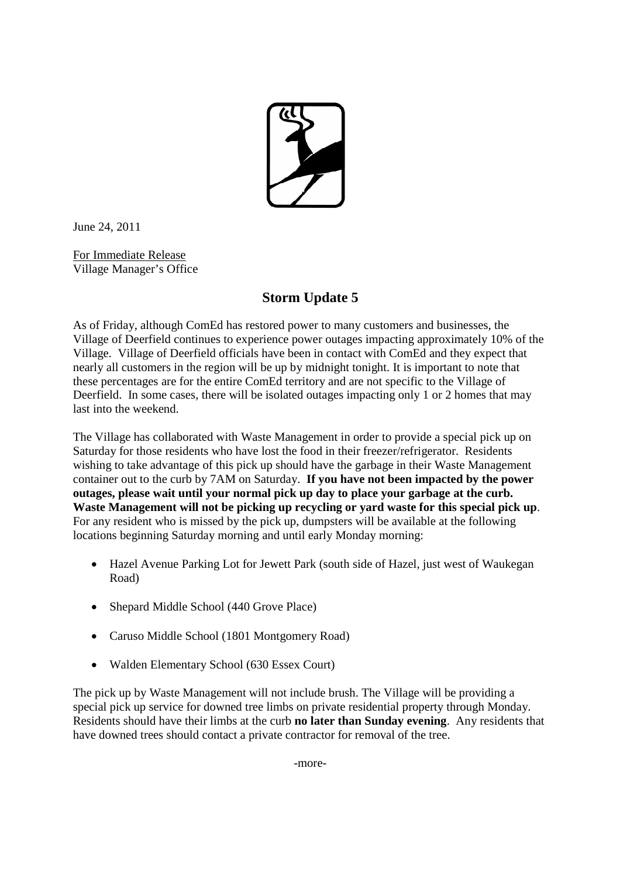

June 24, 2011

For Immediate Release Village Manager's Office

## **Storm Update 5**

As of Friday, although ComEd has restored power to many customers and businesses, the Village of Deerfield continues to experience power outages impacting approximately 10% of the Village. Village of Deerfield officials have been in contact with ComEd and they expect that nearly all customers in the region will be up by midnight tonight. It is important to note that these percentages are for the entire ComEd territory and are not specific to the Village of Deerfield. In some cases, there will be isolated outages impacting only 1 or 2 homes that may last into the weekend.

The Village has collaborated with Waste Management in order to provide a special pick up on Saturday for those residents who have lost the food in their freezer/refrigerator. Residents wishing to take advantage of this pick up should have the garbage in their Waste Management container out to the curb by 7AM on Saturday. **If you have not been impacted by the power outages, please wait until your normal pick up day to place your garbage at the curb. Waste Management will not be picking up recycling or yard waste for this special pick up**. For any resident who is missed by the pick up, dumpsters will be available at the following locations beginning Saturday morning and until early Monday morning:

- Hazel Avenue Parking Lot for Jewett Park (south side of Hazel, just west of Waukegan Road)
- Shepard Middle School (440 Grove Place)
- Caruso Middle School (1801 Montgomery Road)
- Walden Elementary School (630 Essex Court)

The pick up by Waste Management will not include brush. The Village will be providing a special pick up service for downed tree limbs on private residential property through Monday. Residents should have their limbs at the curb **no later than Sunday evening**. Any residents that have downed trees should contact a private contractor for removal of the tree.

-more-